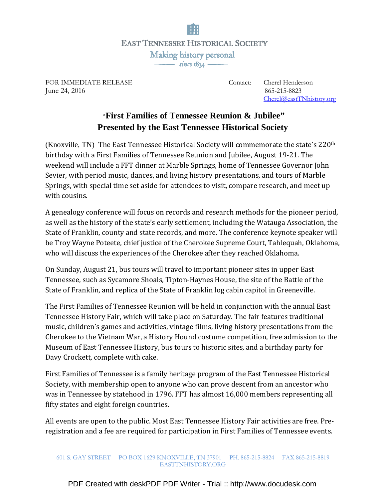

FOR IMMEDIATE RELEASE Contact: Cherel Henderson FOR IMMEDIATE RELEASE COMAC. CHEFT TENGEN<br>June 24, 2016 865-215-8823

Cherel@eastTNhistory.org

## "**First Families of Tennessee Reunion & Jubilee" Presented by the East Tennessee Historical Society**

(Knoxville, TN) The East Tennessee Historical Society will commemorate the state's  $220<sup>th</sup>$ birthday with a First Families of Tennessee Reunion and Jubilee, August 19-21. The weekend will include a FFT dinner at Marble Springs, home of Tennessee Governor John Sevier, with period music, dances, and living history presentations, and tours of Marble Springs, with special time set aside for attendees to visit, compare research, and meet up with cousins.

A genealogy conference will focus on records and research methods for the pioneer period, as well as the history of the state's early settlement, including the Watauga Association, the State of Franklin, county and state records, and more. The conference keynote speaker will be Troy Wayne Poteete, chief justice of the Cherokee Supreme Court, Tahlequah, Oklahoma, who will discuss the experiences of the Cherokee after they reached Oklahoma.

On Sunday, August 21, bus tours will travel to important pioneer sites in upper East Tennessee, such as Sycamore Shoals, Tipton-Haynes House, the site of the Battle of the State of Franklin, and replica of the State of Franklin log cabin capitol in Greeneville.

The First Families of Tennessee Reunion will be held in conjunction with the annual East Tennessee History Fair, which will take place on Saturday. The fair features traditional music, children's games and activities, vintage films, living history presentations from the Cherokee to the Vietnam War, a History Hound costume competition, free admission to the Museum of East Tennessee History, bus tours to historic sites, and a birthday party for Davy Crockett, complete with cake.

First Families of Tennessee is a family heritage program of the East Tennessee Historical Society, with membership open to anyone who can prove descent from an ancestor who was in Tennessee by statehood in 1796. FFT has almost 16,000 members representing all fifty states and eight foreign countries.

All events are open to the public. Most East Tennessee History Fair activities are free. Preregistration and a fee are required for participation in First Families of Tennessee events.

## 601 S. GAY STREET PO BOX 1629 KNOXVILLE, TN 37901 PH. 865-215-8824 FAX 865-215-8819 EASTTNHISTORY.ORG

[PDF Created with deskPDF PDF Writer - Trial :: http://www.docudesk.com](http://www.docudesk.com)